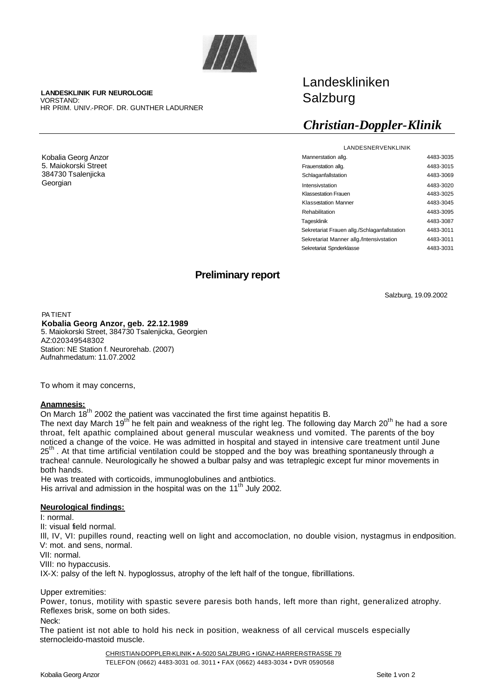

**LANDESKLINIK FUR NEUROLOGIE** VORSTAND: HR PRIM. UNIV.-PROF. DR. GUNTHER LADURNER

Kobalia Georg Anzor 5. Maiokorski Street 384730 Tsalenjicka Georgian

# Landeskliniken Salzburg

## *Christian-Doppler-Klinik*

| LANDESNERVENKLINIK                           |           |
|----------------------------------------------|-----------|
| Mannerstation allg.                          | 4483-3035 |
| Frauenstation allg.                          | 4483-3015 |
| Schlaganfallstation                          | 4483-3069 |
| Intensivstation                              | 4483-3020 |
| <b>Klassestation Frauen</b>                  | 4483-3025 |
| <b>Klassestation Manner</b>                  | 4483-3045 |
| Rehabilitation                               | 4483-3095 |
| Tagesklinik                                  | 4483-3087 |
| Sekretariat Frauen allg./Schlaganfallstation | 4483-3011 |
| Sekretariat Manner allg./Intensivstation     | 4483-3011 |
| Sekretariat Spnderklasse                     | 4483-3031 |

### **Preliminary report**

Salzburg, 19.09.2002

PATIENT

**Kobalia Georg Anzor, geb. 22.12.1989** 5. Maiokorski Street, 384730 Tsalenjicka, Georgien AZ:020349548302 Station: NE Station f. Neurorehab. (2007) Aufnahmedatum: 11.07.2002

To whom it may concerns,

#### **Anamnesis:**

On March 18<sup>th</sup> 2002 the patient was vaccinated the first time against hepatitis B.

The next day March 19<sup>th</sup> he felt pain and weakness of the right leg. The following day March 20<sup>th</sup> he had a sore throat, felt apathic complained about general muscular weakness und vomited. The parents of the boy noticed a change of the voice. He was admitted in hospital and stayed in intensive care treatment until June 25th . At that time artificial ventilation could be stopped and the boy was breathing spontaneusly through *a*  trachea! cannule. Neurologically he showed a bulbar palsy and was tetraplegic except fur minor movements in both hands.

He was treated with corticoids, immunoglobulines and antbiotics. His arrival and admission in the hospital was on the 11<sup>th</sup> July 2002.

#### **Neurological findings:**

I: normal.

II: visual field normal.

Ill, IV, VI: pupilles round, reacting well on light and accomoclation, no double vision, nystagmus in endposition. V: mot. and sens, normal.

VII: normal.

VIII: no hypaccusis.

IX-X: palsy of the left N. hypoglossus, atrophy of the left half of the tongue, fibrilllations.

#### Upper extremities:

Power, tonus, motility with spastic severe paresis both hands, left more than right, generalized atrophy. Reflexes brisk, some on both sides.

#### Neck:

The patient ist not able to hold his neck in position, weakness of all cervical muscels especially sternocleido-mastoid muscle.

CHRISTIAN-DOPPLER-KLINIK • A-5020 SALZBURG • IGNAZ-HARRER-STRASSE 79